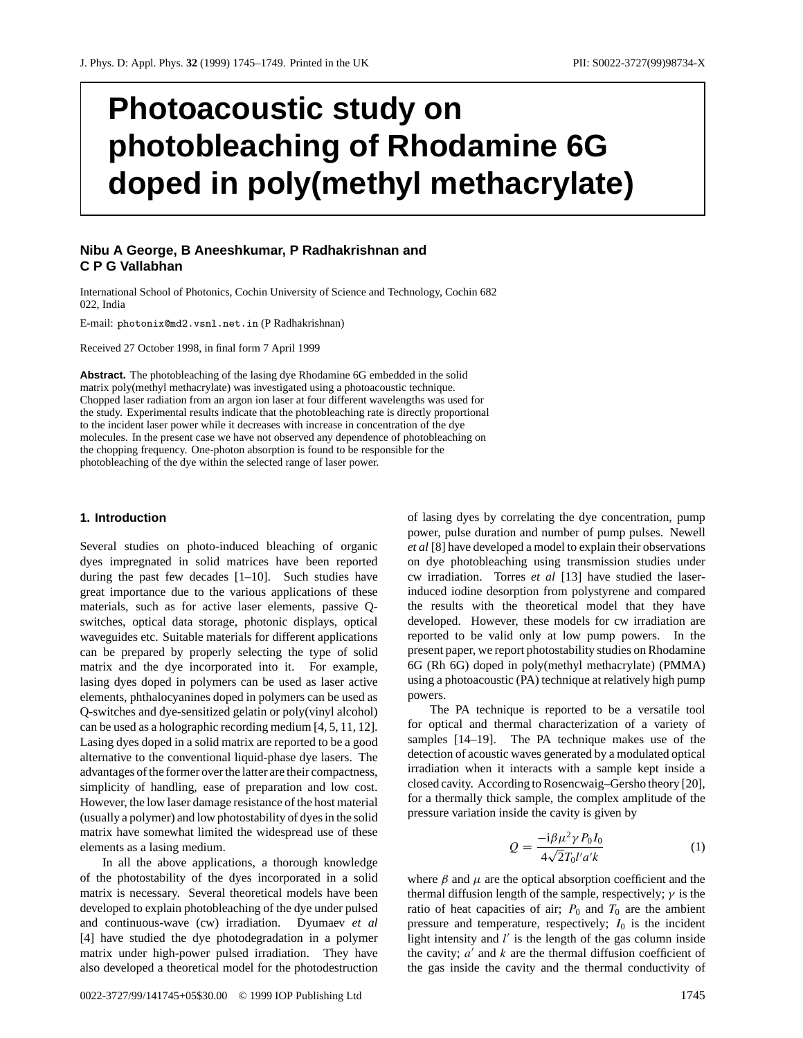# **Photoacoustic study on photobleaching of Rhodamine 6G doped in poly(methyl methacrylate)**

# **Nibu A George, B Aneeshkumar, P Radhakrishnan and CPGVallabhan**

International School of Photonics, Cochin University of Science and Technology, Cochin 682 022, India

E-mail: photonix@md2.vsnl.net.in (P Radhakrishnan)

Received 27 October 1998, in final form 7 April 1999

**Abstract.** The photobleaching of the lasing dye Rhodamine 6G embedded in the solid matrix poly(methyl methacrylate) was investigated using a photoacoustic technique. Chopped laser radiation from an argon ion laser at four different wavelengths was used for the study. Experimental results indicate that the photobleaching rate is directly proportional to the incident laser power while it decreases with increase in concentration of the dye molecules. In the present case we have not observed any dependence of photobleaching on the chopping frequency. One-photon absorption is found to be responsible for the photobleaching of the dye within the selected range of laser power.

### **1. Introduction**

Several studies on photo-induced bleaching of organic dyes impregnated in solid matrices have been reported during the past few decades [1–10]. Such studies have great importance due to the various applications of these materials, such as for active laser elements, passive Qswitches, optical data storage, photonic displays, optical waveguides etc. Suitable materials for different applications can be prepared by properly selecting the type of solid matrix and the dye incorporated into it. For example, lasing dyes doped in polymers can be used as laser active elements, phthalocyanines doped in polymers can be used as Q-switches and dye-sensitized gelatin or poly(vinyl alcohol) can be used as a holographic recording medium [4, 5, 11, 12]. Lasing dyes doped in a solid matrix are reported to be a good alternative to the conventional liquid-phase dye lasers. The advantages of the former over the latter are their compactness, simplicity of handling, ease of preparation and low cost. However, the low laser damage resistance of the host material (usually a polymer) and low photostability of dyes in the solid matrix have somewhat limited the widespread use of these elements as a lasing medium.

In all the above applications, a thorough knowledge of the photostability of the dyes incorporated in a solid matrix is necessary. Several theoretical models have been developed to explain photobleaching of the dye under pulsed and continuous-wave (cw) irradiation. Dyumaev *et al* [4] have studied the dye photodegradation in a polymer matrix under high-power pulsed irradiation. They have also developed a theoretical model for the photodestruction of lasing dyes by correlating the dye concentration, pump power, pulse duration and number of pump pulses. Newell *et al* [8] have developed a model to explain their observations on dye photobleaching using transmission studies under cw irradiation. Torres *et al* [13] have studied the laserinduced iodine desorption from polystyrene and compared the results with the theoretical model that they have developed. However, these models for cw irradiation are reported to be valid only at low pump powers. In the present paper, we report photostability studies on Rhodamine 6G (Rh 6G) doped in poly(methyl methacrylate) (PMMA) using a photoacoustic (PA) technique at relatively high pump powers.

The PA technique is reported to be a versatile tool for optical and thermal characterization of a variety of samples [14–19]. The PA technique makes use of the detection of acoustic waves generated by a modulated optical irradiation when it interacts with a sample kept inside a closed cavity. According to Rosencwaig–Gersho theory [20], for a thermally thick sample, the complex amplitude of the pressure variation inside the cavity is given by

$$
Q = \frac{-\mathrm{i}\beta\mu^2\gamma P_0 I_0}{4\sqrt{2}T_0 l' a' k} \tag{1}
$$

where  $\beta$  and  $\mu$  are the optical absorption coefficient and the thermal diffusion length of the sample, respectively; *γ* is the ratio of heat capacities of air;  $P_0$  and  $T_0$  are the ambient pressure and temperature, respectively;  $I_0$  is the incident light intensity and *l'* is the length of the gas column inside the cavity;  $a'$  and  $k$  are the thermal diffusion coefficient of the gas inside the cavity and the thermal conductivity of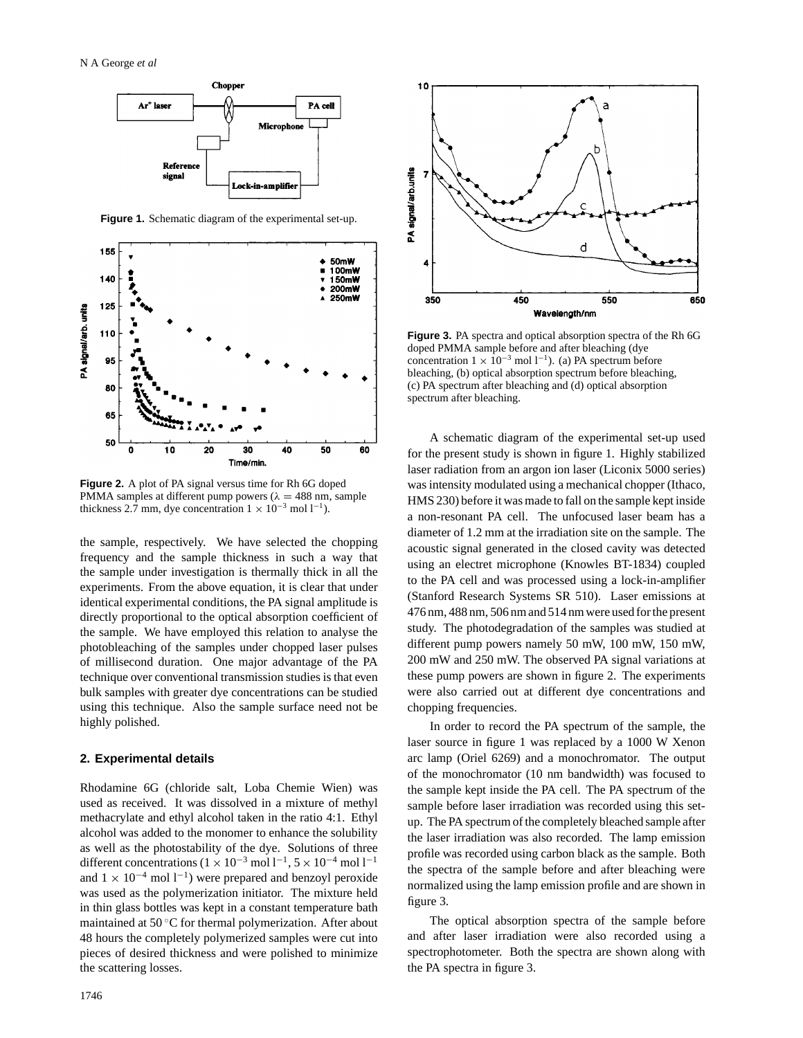

**Figure 1.** Schematic diagram of the experimental set-up.



**Figure 2.** A plot of PA signal versus time for Rh 6G doped PMMA samples at different pump powers ( $λ = 488$  nm, sample thickness 2.7 mm, dye concentration  $1 \times 10^{-3}$  mol  $1^{-1}$ ).

the sample, respectively. We have selected the chopping frequency and the sample thickness in such a way that the sample under investigation is thermally thick in all the experiments. From the above equation, it is clear that under identical experimental conditions, the PA signal amplitude is directly proportional to the optical absorption coefficient of the sample. We have employed this relation to analyse the photobleaching of the samples under chopped laser pulses of millisecond duration. One major advantage of the PA technique over conventional transmission studies is that even bulk samples with greater dye concentrations can be studied using this technique. Also the sample surface need not be highly polished.

# **2. Experimental details**

Rhodamine 6G (chloride salt, Loba Chemie Wien) was used as received. It was dissolved in a mixture of methyl methacrylate and ethyl alcohol taken in the ratio 4:1. Ethyl alcohol was added to the monomer to enhance the solubility as well as the photostability of the dye. Solutions of three different concentrations (1 × 10<sup>-3</sup> mol l<sup>-1</sup>, 5 × 10<sup>-4</sup> mol l<sup>-1</sup> and  $1 \times 10^{-4}$  mol  $1^{-1}$ ) were prepared and benzoyl peroxide was used as the polymerization initiator. The mixture held in thin glass bottles was kept in a constant temperature bath maintained at 50 ◦C for thermal polymerization. After about 48 hours the completely polymerized samples were cut into pieces of desired thickness and were polished to minimize the scattering losses.



**Figure 3.** PA spectra and optical absorption spectra of the Rh 6G doped PMMA sample before and after bleaching (dye concentration  $1 \times 10^{-3}$  mol  $1^{-1}$ ). (a) PA spectrum before bleaching, (b) optical absorption spectrum before bleaching, (c) PA spectrum after bleaching and (d) optical absorption spectrum after bleaching.

A schematic diagram of the experimental set-up used for the present study is shown in figure 1. Highly stabilized laser radiation from an argon ion laser (Liconix 5000 series) was intensity modulated using a mechanical chopper (Ithaco, HMS 230) before it was made to fall on the sample kept inside a non-resonant PA cell. The unfocused laser beam has a diameter of 1.2 mm at the irradiation site on the sample. The acoustic signal generated in the closed cavity was detected using an electret microphone (Knowles BT-1834) coupled to the PA cell and was processed using a lock-in-amplifier (Stanford Research Systems SR 510). Laser emissions at 476 nm, 488 nm, 506 nm and 514 nm were used for the present study. The photodegradation of the samples was studied at different pump powers namely 50 mW, 100 mW, 150 mW, 200 mW and 250 mW. The observed PA signal variations at these pump powers are shown in figure 2. The experiments were also carried out at different dye concentrations and chopping frequencies.

In order to record the PA spectrum of the sample, the laser source in figure 1 was replaced by a 1000 W Xenon arc lamp (Oriel 6269) and a monochromator. The output of the monochromator (10 nm bandwidth) was focused to the sample kept inside the PA cell. The PA spectrum of the sample before laser irradiation was recorded using this setup. The PA spectrum of the completely bleached sample after the laser irradiation was also recorded. The lamp emission profile was recorded using carbon black as the sample. Both the spectra of the sample before and after bleaching were normalized using the lamp emission profile and are shown in figure 3.

The optical absorption spectra of the sample before and after laser irradiation were also recorded using a spectrophotometer. Both the spectra are shown along with the PA spectra in figure 3.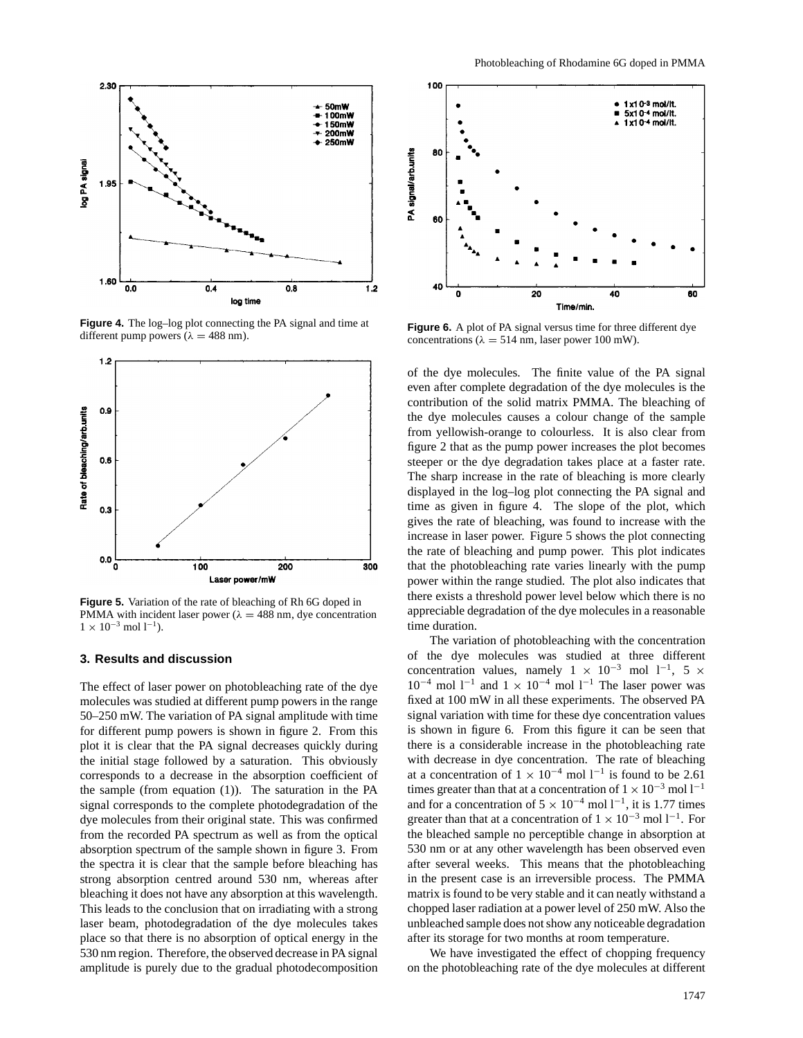

**Figure 4.** The log–log plot connecting the PA signal and time at different pump powers ( $\lambda = 488$  nm).



**Figure 5.** Variation of the rate of bleaching of Rh 6G doped in PMMA with incident laser power ( $\lambda = 488$  nm, dye concentration  $1\times10^{-3}$  mol  $l^{-1}$  ).

# **3. Results and discussion**

The effect of laser power on photobleaching rate of the dye molecules was studied at different pump powers in the range 50–250 mW. The variation of PA signal amplitude with time for different pump powers is shown in figure 2. From this plot it is clear that the PA signal decreases quickly during the initial stage followed by a saturation. This obviously corresponds to a decrease in the absorption coefficient of the sample (from equation (1)). The saturation in the PA signal corresponds to the complete photodegradation of the dye molecules from their original state. This was confirmed from the recorded PA spectrum as well as from the optical absorption spectrum of the sample shown in figure 3. From the spectra it is clear that the sample before bleaching has strong absorption centred around 530 nm, whereas after bleaching it does not have any absorption at this wavelength. This leads to the conclusion that on irradiating with a strong laser beam, photodegradation of the dye molecules takes place so that there is no absorption of optical energy in the 530 nm region. Therefore, the observed decrease in PA signal amplitude is purely due to the gradual photodecomposition



**Figure 6.** A plot of PA signal versus time for three different dye concentrations ( $\lambda = 514$  nm, laser power 100 mW).

of the dye molecules. The finite value of the PA signal even after complete degradation of the dye molecules is the contribution of the solid matrix PMMA. The bleaching of the dye molecules causes a colour change of the sample from yellowish-orange to colourless. It is also clear from figure 2 that as the pump power increases the plot becomes steeper or the dye degradation takes place at a faster rate. The sharp increase in the rate of bleaching is more clearly displayed in the log–log plot connecting the PA signal and time as given in figure 4. The slope of the plot, which gives the rate of bleaching, was found to increase with the increase in laser power. Figure 5 shows the plot connecting the rate of bleaching and pump power. This plot indicates that the photobleaching rate varies linearly with the pump power within the range studied. The plot also indicates that there exists a threshold power level below which there is no appreciable degradation of the dye molecules in a reasonable time duration.

The variation of photobleaching with the concentration of the dye molecules was studied at three different concentration values, namely  $1 \times 10^{-3}$  mol  $1^{-1}$ , 5 ×  $10^{-4}$  mol  $1^{-1}$  and  $1 \times 10^{-4}$  mol  $1^{-1}$  The laser power was fixed at 100 mW in all these experiments. The observed PA signal variation with time for these dye concentration values is shown in figure 6. From this figure it can be seen that there is a considerable increase in the photobleaching rate with decrease in dye concentration. The rate of bleaching at a concentration of  $1 \times 10^{-4}$  mol l<sup>-1</sup> is found to be 2.61 times greater than that at a concentration of  $1 \times 10^{-3}$  mol l<sup>-1</sup> and for a concentration of  $5 \times 10^{-4}$  mol  $1^{-1}$ , it is 1.77 times greater than that at a concentration of  $1 \times 10^{-3}$  mol  $1^{-1}$ . For the bleached sample no perceptible change in absorption at 530 nm or at any other wavelength has been observed even after several weeks. This means that the photobleaching in the present case is an irreversible process. The PMMA matrix is found to be very stable and it can neatly withstand a chopped laser radiation at a power level of 250 mW. Also the unbleached sample does not show any noticeable degradation after its storage for two months at room temperature.

We have investigated the effect of chopping frequency on the photobleaching rate of the dye molecules at different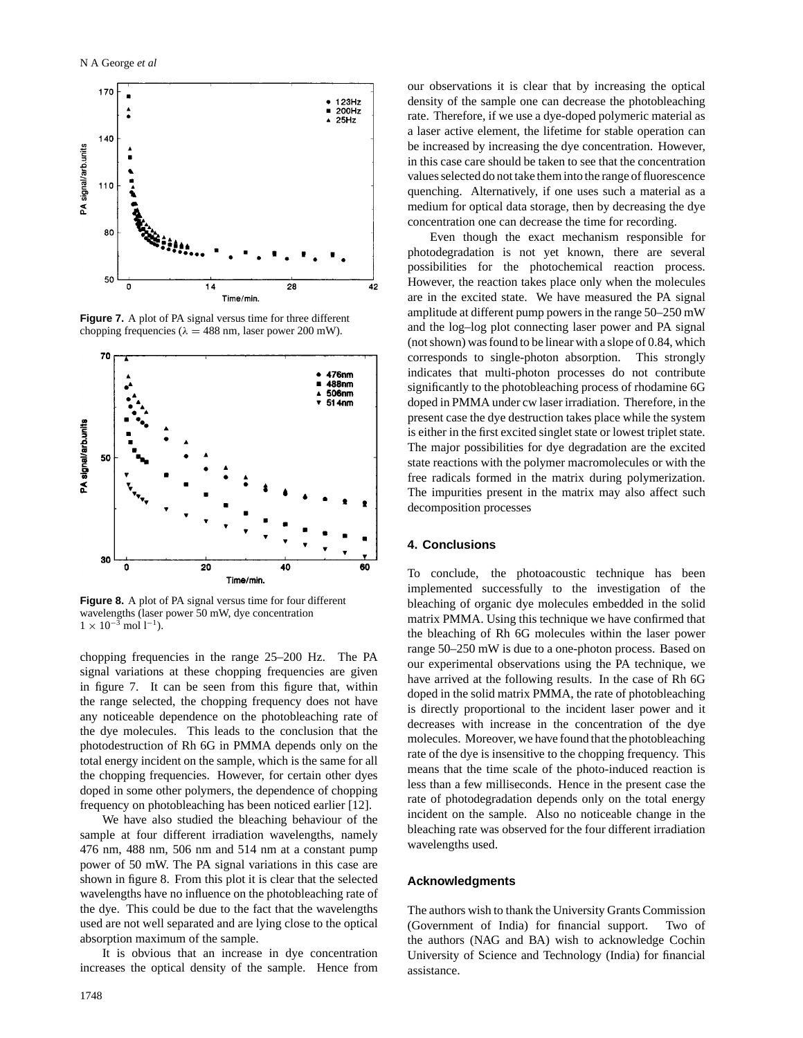

**Figure 7.** A plot of PA signal versus time for three different chopping frequencies ( $\lambda = 488$  nm, laser power 200 mW).



**Figure 8.** A plot of PA signal versus time for four different wavelengths (laser power 50 mW, dye concentration  $1 \times 10^{-3}$  mol  $1^{-1}$ ).

chopping frequencies in the range 25–200 Hz. The PA signal variations at these chopping frequencies are given in figure 7. It can be seen from this figure that, within the range selected, the chopping frequency does not have any noticeable dependence on the photobleaching rate of the dye molecules. This leads to the conclusion that the photodestruction of Rh 6G in PMMA depends only on the total energy incident on the sample, which is the same for all the chopping frequencies. However, for certain other dyes doped in some other polymers, the dependence of chopping frequency on photobleaching has been noticed earlier [12].

We have also studied the bleaching behaviour of the sample at four different irradiation wavelengths, namely 476 nm, 488 nm, 506 nm and 514 nm at a constant pump power of 50 mW. The PA signal variations in this case are shown in figure 8. From this plot it is clear that the selected wavelengths have no influence on the photobleaching rate of the dye. This could be due to the fact that the wavelengths used are not well separated and are lying close to the optical absorption maximum of the sample.

It is obvious that an increase in dye concentration increases the optical density of the sample. Hence from our observations it is clear that by increasing the optical density of the sample one can decrease the photobleaching rate. Therefore, if we use a dye-doped polymeric material as a laser active element, the lifetime for stable operation can be increased by increasing the dye concentration. However, in this case care should be taken to see that the concentration values selected do not take them into the range of fluorescence quenching. Alternatively, if one uses such a material as a medium for optical data storage, then by decreasing the dye concentration one can decrease the time for recording.

Even though the exact mechanism responsible for photodegradation is not yet known, there are several possibilities for the photochemical reaction process. However, the reaction takes place only when the molecules are in the excited state. We have measured the PA signal amplitude at different pump powers in the range 50–250 mW and the log–log plot connecting laser power and PA signal (not shown) was found to be linear with a slope of 0.84, which corresponds to single-photon absorption. This strongly indicates that multi-photon processes do not contribute significantly to the photobleaching process of rhodamine 6G doped in PMMA under cw laser irradiation. Therefore, in the present case the dye destruction takes place while the system is either in the first excited singlet state or lowest triplet state. The major possibilities for dye degradation are the excited state reactions with the polymer macromolecules or with the free radicals formed in the matrix during polymerization. The impurities present in the matrix may also affect such decomposition processes

# **4. Conclusions**

To conclude, the photoacoustic technique has been implemented successfully to the investigation of the bleaching of organic dye molecules embedded in the solid matrix PMMA. Using this technique we have confirmed that the bleaching of Rh 6G molecules within the laser power range 50–250 mW is due to a one-photon process. Based on our experimental observations using the PA technique, we have arrived at the following results. In the case of Rh 6G doped in the solid matrix PMMA, the rate of photobleaching is directly proportional to the incident laser power and it decreases with increase in the concentration of the dye molecules. Moreover, we have found that the photobleaching rate of the dye is insensitive to the chopping frequency. This means that the time scale of the photo-induced reaction is less than a few milliseconds. Hence in the present case the rate of photodegradation depends only on the total energy incident on the sample. Also no noticeable change in the bleaching rate was observed for the four different irradiation wavelengths used.

#### **Acknowledgments**

The authors wish to thank the University Grants Commission (Government of India) for financial support. Two of the authors (NAG and BA) wish to acknowledge Cochin University of Science and Technology (India) for financial assistance.